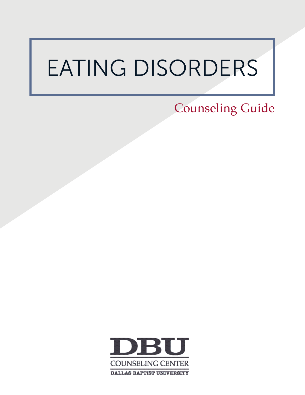# EATING DISORDERS

Counseling Guide

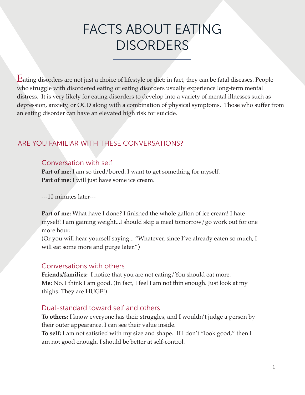### FACTS ABOUT EATING **DISORDERS**

Eating disorders are not just a choice of lifestyle or diet; in fact, they can be fatal diseases. People who struggle with disordered eating or eating disorders usually experience long-term mental distress. It is very likely for eating disorders to develop into a variety of mental illnesses such as depression, anxiety, or OCD along with a combination of physical symptoms. Those who suffer from an eating disorder can have an elevated high risk for suicide.

### ARE YOU FAMILIAR WITH THESE CONVERSATIONS?

#### Conversation with self

Part of me: I am so tired/bored. I want to get something for myself. **Part of me:** I will just have some ice cream.

---10 minutes later---

**Part of me:** What have I done? I finished the whole gallon of ice cream! I hate myself! I am gaining weight...I should skip a meal tomorrow/go work out for one more hour.

(Or you will hear yourself saying... "Whatever, since I've already eaten so much, I will eat some more and purge later.")

#### Conversations with others

**Friends/families:** I notice that you are not eating/You should eat more. **Me:** No, I think I am good. (In fact, I feel I am not thin enough. Just look at my thighs. They are HUGE!)

#### Dual-standard toward self and others

**To others:** I know everyone has their struggles, and I wouldn't judge a person by their outer appearance. I can see their value inside.

**To self:** I am not satisfied with my size and shape. If I don't "look good," then I am not good enough. I should be better at self-control.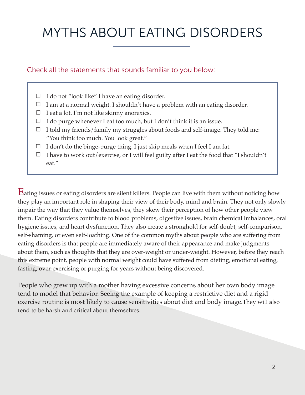## MYTHS ABOUT EATING DISORDERS

#### Check all the statements that sounds familiar to you below:

- □ I do not "look like" I have an eating disorder.
- $\Box$  I am at a normal weight. I shouldn't have a problem with an eating disorder.
- $\Box$  I eat a lot. I'm not like skinny anorexics.
- □ I do purge whenever I eat too much, but I don't think it is an issue.
- $\Box$  I told my friends/family my struggles about foods and self-image. They told me: "You think too much. You look great."
- $\Box$  I don't do the binge-purge thing. I just skip meals when I feel I am fat.
- $\Box$  I have to work out/exercise, or I will feel guilty after I eat the food that "I shouldn't eat."

Eating issues or eating disorders are silent killers. People can live with them without noticing how they play an important role in shaping their view of their body, mind and brain. They not only slowly impair the way that they value themselves, they skew their perception of how other people view them. Eating disorders contribute to blood problems, digestive issues, brain chemical imbalances, oral hygiene issues, and heart dysfunction. They also create a stronghold for self-doubt, self-comparison, self-shaming, or even self-loathing. One of the common myths about people who are suffering from eating disorders is that people are immediately aware of their appearance and make judgments about them, such as thoughts that they are over-weight or under-weight. However, before they reach this extreme point, people with normal weight could have suffered from dieting, emotional eating, fasting, over-exercising or purging for years without being discovered.

People who grew up with a mother having excessive concerns about her own body image tend to model that behavior. Seeing the example of keeping a restrictive diet and a rigid exercise routine is most likely to cause sensitivities about diet and body image.They will also tend to be harsh and critical about themselves.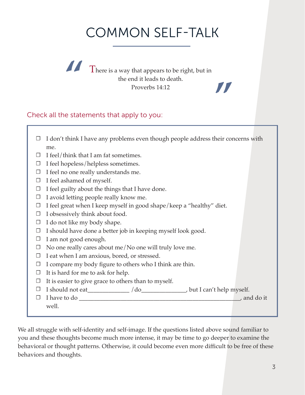### COMMON SELF-TALK

**"**

**There is a way that appears to be right, but in** the end it leads to death. Proverbs 14:12

#### Check all the statements that apply to you:

| ⊔      | I don't think I have any problems even though people address their concerns with |
|--------|----------------------------------------------------------------------------------|
|        | me.                                                                              |
| $\Box$ | I feel/think that I am fat sometimes.                                            |
| $\Box$ | I feel hopeless/helpless sometimes.                                              |
| $\Box$ | I feel no one really understands me.                                             |
| $\Box$ | I feel ashamed of myself.                                                        |
| $\Box$ | I feel guilty about the things that I have done.                                 |
| $\Box$ | I avoid letting people really know me.                                           |
| $\Box$ | I feel great when I keep myself in good shape/keep a "healthy" diet.             |
| $\Box$ | I obsessively think about food.                                                  |
| $\Box$ | I do not like my body shape.                                                     |
| $\Box$ | I should have done a better job in keeping myself look good.                     |
| $\Box$ | I am not good enough.                                                            |
| $\Box$ | No one really cares about me/No one will truly love me.                          |
| $\Box$ | I eat when I am anxious, bored, or stressed.                                     |
| $\Box$ | I compare my body figure to others who I think are thin.                         |
| $\Box$ | It is hard for me to ask for help.                                               |
| $\Box$ | It is easier to give grace to others than to myself.                             |
| $\Box$ |                                                                                  |
| $\Box$ |                                                                                  |
|        | well.                                                                            |
|        |                                                                                  |

We all struggle with self-identity and self-image. If the questions listed above sound familiar to you and these thoughts become much more intense, it may be time to go deeper to examine the behavioral or thought patterns. Otherwise, it could become even more difficult to be free of these behaviors and thoughts.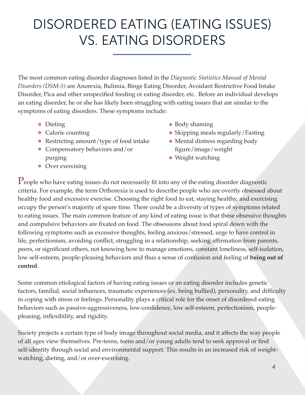### DISORDERED EATING (EATING ISSUES) VS. EATING DISORDERS

The most common eating disorder diagnoses listed in the *Diagnostic Statistics Manual of Mental Disorders (DSM-5)* are Anorexia, Bulimia, Binge Eating Disorder, Avoidant Restrictive Food Intake Disorder, Pica and other unspecified feeding or eating disorder, etc. Before an individual develops an eating disorder, he or she has likely been struggling with eating issues that are similar to the symptoms of eating disorders. These symptoms include:

- **•** Dieting
- Calorie counting
- Restricting amount/type of food intake
- Compensatory behaviors and/or purging
- **•** Over exercising
- Body shaming
- Skipping meals regularly/Fasting
- Mental distress regarding body figure/image/weight
- Weight watching

 $\rm P$ eople who have eating issues do not necessarily fit into any of the eating disorder diagnostic criteria. For example, the term Orthorexia is used to describe people who are overtly obsessed about healthy food and excessive exercise. Choosing the right food to eat, staying healthy, and exercising occupy the person's majority of spare time. There could be a diversity of types of symptoms related to eating issues. The main common feature of any kind of eating issue is that these obsessive thoughts and compulsive behaviors are fixated on food. The obsessions about food spiral down with the following symptoms such as excessive thoughts, feeling anxious/stressed, urge to have control in life, perfectionism, avoiding conflict, struggling in a relationship, seeking affirmation from parents, peers, or significant others, not knowing how to manage emotions, constant loneliness, self-isolation, low self-esteem, people-pleasing behaviors and thus a sense of confusion and feeling of **being out of control**.

Some common etiological factors of having eating issues or an eating disorder includes genetic factors, familial, social influences, traumatic experiences (ex. being bullied), personality, and difficulty in coping with stress or feelings. Personality plays a critical role for the onset of disordered eating behaviors such as passive-aggressiveness, low-confidence, low self-esteem, perfectionism, peoplepleasing, inflexibility, and rigidity.

Society projects a certain type of body image throughout social media, and it affects the way people of all ages view themselves. Pre-teens, teens and/or young adults tend to seek approval or find self-identity through social and environmental support. This results in an increased risk of weightwatching, dieting, and/or over-exercising.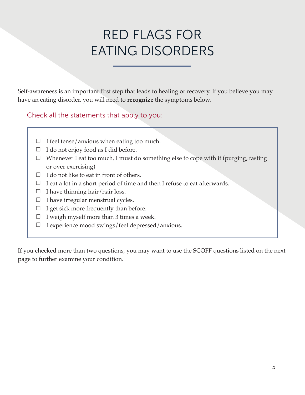### RED FLAGS FOR EATING DISORDERS

Self-awareness is an important first step that leads to healing or recovery. If you believe you may have an eating disorder, you will need to **recognize** the symptoms below.

Check all the statements that apply to you:

- $\Box$  I feel tense/anxious when eating too much.
- $\Box$  I do not enjoy food as I did before.
- □ Whenever I eat too much, I must do something else to cope with it (purging, fasting or over exercising)
- $\Box$  I do not like to eat in front of others.
- $\Box$  I eat a lot in a short period of time and then I refuse to eat afterwards.
- □ I have thinning hair/hair loss.
- $\Box$  I have irregular menstrual cycles.
- $\Box$  I get sick more frequently than before.
- □ I weigh myself more than 3 times a week.
- I experience mood swings/feel depressed/anxious. ☐

If you checked more than two questions, you may want to use the SCOFF questions listed on the next page to further examine your condition.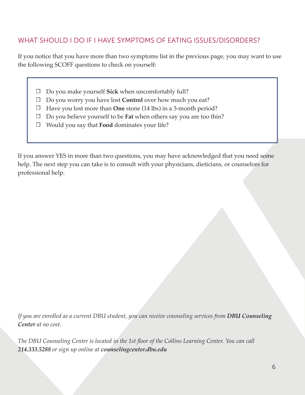#### WHAT SHOULD I DO IF I HAVE SYMPTOMS OF EATING ISSUES/DISORDERS?

If you notice that you have more than two symptoms list in the previous page, you may want to use the following SCOFF questions to check on yourself:

- □ Do you make yourself **Sick** when uncomfortably full?
- □ Do you worry you have lost **Control** over how much you eat?
- □ Have you lost more than **One** stone (14 lbs) in a 3-month period?
- □ Do you believe yourself to be **Fat** when others say you are too thin?
- Would you say that **Food** dominates your life? ☐

If you answer YES in more than two questions, you may have acknowledged that you need some help. The next step you can take is to consult with your physicians, dieticians, or counselors for professional help.

*If you are enrolled as a current DBU student, you can receive counseling services from DBU Counseling Center at no cost.*

*The DBU Counseling Center is located in the 1st floor of the Collins Learning Center. You can call 214.333.5288 or sign up online at counselingcenter.dbu.edu*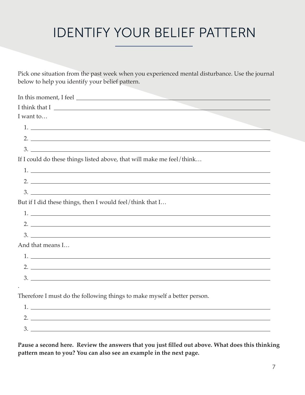### IDENTIFY YOUR BELIEF PATTERN

Pick one situation from the past week when you experienced mental disturbance. Use the journal below to help you identify your belief pattern.

| I want to                                                                                                                                                                                                                                                                                                              |
|------------------------------------------------------------------------------------------------------------------------------------------------------------------------------------------------------------------------------------------------------------------------------------------------------------------------|
| 1.                                                                                                                                                                                                                                                                                                                     |
| 2. $\frac{1}{2}$ $\frac{1}{2}$ $\frac{1}{2}$ $\frac{1}{2}$ $\frac{1}{2}$ $\frac{1}{2}$ $\frac{1}{2}$ $\frac{1}{2}$ $\frac{1}{2}$ $\frac{1}{2}$ $\frac{1}{2}$ $\frac{1}{2}$ $\frac{1}{2}$ $\frac{1}{2}$ $\frac{1}{2}$ $\frac{1}{2}$ $\frac{1}{2}$ $\frac{1}{2}$ $\frac{1}{2}$ $\frac{1}{2}$ $\frac{1}{2}$ $\frac{1}{2}$ |
|                                                                                                                                                                                                                                                                                                                        |
| If I could do these things listed above, that will make me feel/think                                                                                                                                                                                                                                                  |
| $1.$ $\overline{\phantom{a}}$                                                                                                                                                                                                                                                                                          |
| 2.                                                                                                                                                                                                                                                                                                                     |
| $3.$ $\overline{\phantom{a}}$                                                                                                                                                                                                                                                                                          |
| But if I did these things, then I would feel/think that I                                                                                                                                                                                                                                                              |
|                                                                                                                                                                                                                                                                                                                        |
| $2.$ $\overline{\phantom{a}}$                                                                                                                                                                                                                                                                                          |
| $3.$ $\overline{\phantom{a}}$                                                                                                                                                                                                                                                                                          |
| And that means I                                                                                                                                                                                                                                                                                                       |
| $1.$ $\overline{\phantom{a}}$                                                                                                                                                                                                                                                                                          |
|                                                                                                                                                                                                                                                                                                                        |
| $3.$ $\overline{\phantom{a}}$                                                                                                                                                                                                                                                                                          |
|                                                                                                                                                                                                                                                                                                                        |
| Therefore I must do the following things to make myself a better person.                                                                                                                                                                                                                                               |
| $1.$ $\overline{\phantom{a}}$                                                                                                                                                                                                                                                                                          |
| 2. $\frac{1}{2}$ $\frac{1}{2}$ $\frac{1}{2}$ $\frac{1}{2}$ $\frac{1}{2}$ $\frac{1}{2}$ $\frac{1}{2}$ $\frac{1}{2}$ $\frac{1}{2}$ $\frac{1}{2}$ $\frac{1}{2}$ $\frac{1}{2}$ $\frac{1}{2}$ $\frac{1}{2}$ $\frac{1}{2}$ $\frac{1}{2}$ $\frac{1}{2}$ $\frac{1}{2}$ $\frac{1}{2}$ $\frac{1}{2}$ $\frac{1}{2}$ $\frac{1}{2}$ |

**Pause a second here. Review the answers that you just filled out above. What does this thinking pattern mean to you? You can also see an example in the next page.**

3.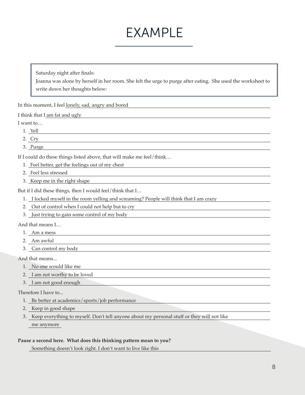### EXAMPLE

Saturday night after finals:

Joanna was alone by herself in her room. She felt the urge to purge after eating. She used the worksheet to write down her thoughts below:

In this moment, I feel lonely, sad, angry and bored

I think that I am fat and ugly

I want to…

- 1. Yell
- 2. Cry
- 3. Purge

If I could do these things listed above, that will make me feel/think…

- 1. Feel better, get the feelings out of my chest
- 2. Feel less stressed
- 3. Keep me in the right shape

But if I did these things, then I would feel/think that I...

- 1. I locked myself in the room yelling and screaming? People will think that I am crazy
- 2. Out of control when I could not help but to cry
- 3. Just trying to gain some control of my body

And that means I…

- 1. Am a mess
- 2. Am awful
- 3. Can control my body

And that means...

- 1. No one would like me
- 2. I am not worthy to be loved
- 3. I am not good enough

Therefore I have to...

1. Be better at academics/sports/job performance

2. Keep in good shape

3. Keep everything to myself. Don't tell anyone about my personal stuff or they will not like me anymore

#### **Pause a second here. What does this thinking pattern mean to you?**

Something doesn't look right. I don't want to live like this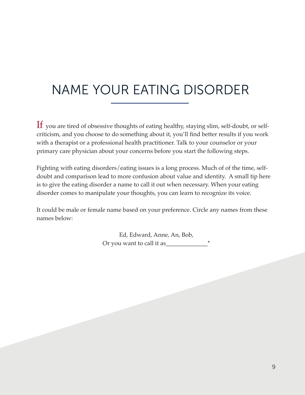### NAME YOUR EATING DISORDER

 $If$  you are tired of obsessive thoughts of eating healthy, staying slim, self-doubt, or selfcriticism, and you choose to do something about it, you'll find better results if you work with a therapist or a professional health practitioner. Talk to your counselor or your primary care physician about your concerns before you start the following steps.

Fighting with eating disorders/eating issues is a long process. Much of of the time, selfdoubt and comparison lead to more confusion about value and identity. A small tip here is to give the eating disorder a name to call it out when necessary. When your eating disorder comes to manipulate your thoughts, you can learn to recognize its voice.

It could be male or female name based on your preference. Circle any names from these names below:

> Ed, Edward, Anne, An, Bob, Or you want to call it as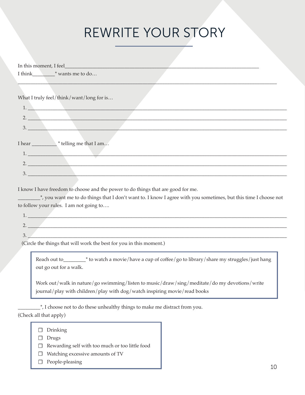### REWRITE YOUR STORY

| I think $*$ wants me to do               |  |
|------------------------------------------|--|
|                                          |  |
|                                          |  |
| What I truly feel/think/want/long for is |  |
|                                          |  |
|                                          |  |
| $\overline{\phantom{a}}$                 |  |
| 3.                                       |  |
|                                          |  |
|                                          |  |
|                                          |  |
| 1.                                       |  |
| 2.                                       |  |
|                                          |  |
| 3.                                       |  |

I know I have freedom to choose and the power to do things that are good for me.

\_\_\_\_\_\_\_\_\_\*, you want me to do things that I don't want to. I know I agree with you sometimes, but this time I choose not to follow your rules. I am not going to….

| . .                      |  |  |  |  |  |
|--------------------------|--|--|--|--|--|
| $\overline{\phantom{m}}$ |  |  |  |  |  |
|                          |  |  |  |  |  |
| $\cup$                   |  |  |  |  |  |

(Circle the things that will work the best for you in this moment.)

Reach out to\_\_\_\_\_\_\_\_\_\* to watch a movie/have a cup of coffee/go to library/share my struggles/just hang out go out for a walk.

Work out/walk in nature/go swimming/listen to music/draw/sing/meditate/do my devotions/write journal/play with children/play with dog/watch inspiring movie/read books

 $\frac{1}{2}$ , I choose not to do these unhealthy things to make me distract from you. (Check all that apply)

- □ Drinking
- □ Drugs
- □ Rewarding self with too much or too little food
- □ Watching excessive amounts of TV
- □ People-pleasing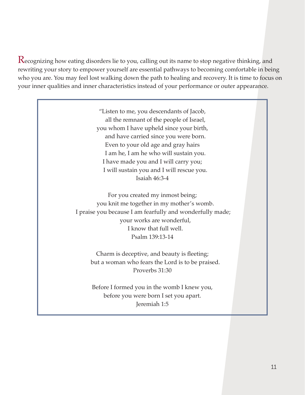Recognizing how eating disorders lie to you, calling out its name to stop negative thinking, and rewriting your story to empower yourself are essential pathways to becoming comfortable in being who you are. You may feel lost walking down the path to healing and recovery. It is time to focus on your inner qualities and inner characteristics instead of your performance or outer appearance.

> "Listen to me, you descendants of Jacob, all the remnant of the people of Israel, you whom I have upheld since your birth, and have carried since you were born. Even to your old age and gray hairs I am he, I am he who will sustain you. I have made you and I will carry you; I will sustain you and I will rescue you. Isaiah 46:3-4

For you created my inmost being; you knit me together in my mother's womb. I praise you because I am fearfully and wonderfully made; your works are wonderful, I know that full well. Psalm 139:13-14

> Charm is deceptive, and beauty is fleeting; but a woman who fears the Lord is to be praised. Proverbs 31:30

Before I formed you in the womb I knew you, before you were born I set you apart. Jeremiah 1:5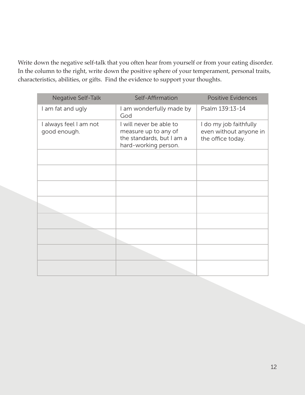Write down the negative self-talk that you often hear from yourself or from your eating disorder. In the column to the right, write down the positive sphere of your temperament, personal traits, characteristics, abilities, or gifts. Find the evidence to support your thoughts.

| Negative Self-Talk                     | Self-Affirmation                                                                                     | <b>Positive Evidences</b>                                             |
|----------------------------------------|------------------------------------------------------------------------------------------------------|-----------------------------------------------------------------------|
| I am fat and ugly                      | I am wonderfully made by<br>God                                                                      | Psalm 139:13-14                                                       |
| I always feel I am not<br>good enough. | I will never be able to<br>measure up to any of<br>the standards, but I am a<br>hard-working person. | I do my job faithfully<br>even without anyone in<br>the office today. |
|                                        |                                                                                                      |                                                                       |
|                                        |                                                                                                      |                                                                       |
|                                        |                                                                                                      |                                                                       |
|                                        |                                                                                                      |                                                                       |
|                                        |                                                                                                      |                                                                       |
|                                        |                                                                                                      |                                                                       |
|                                        |                                                                                                      |                                                                       |
|                                        |                                                                                                      |                                                                       |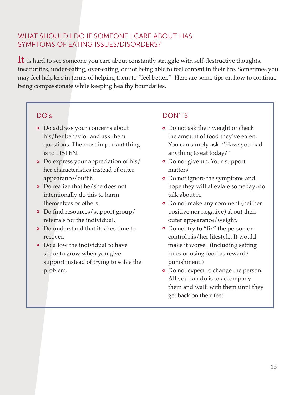#### WHAT SHOULD I DO IF SOMEONE I CARE ABOUT HAS SYMPTOMS OF EATING ISSUES/DISORDERS?

It is hard to see someone you care about constantly struggle with self-destructive thoughts, insecurities, under-eating, over-eating, or not being able to feel content in their life. Sometimes you may feel helpless in terms of helping them to "feel better." Here are some tips on how to continue being compassionate while keeping healthy boundaries.

- Do address your concerns about his/her behavior and ask them questions. The most important thing is to LISTEN.
- Do express your appreciation of his/ her characteristics instead of outer appearance/outfit.
- Do realize that he/she does not intentionally do this to harm themselves or others.
- Do find resources/support group/ referrals for the individual.
- Do understand that it takes time to recover.
- Do allow the individual to have space to grow when you give support instead of trying to solve the problem.

#### DO's DON'TS

- Do not ask their weight or check the amount of food they've eaten. You can simply ask: "Have you had anything to eat today?"
- Do not give up. Your support matters!
- Do not ignore the symptoms and hope they will alleviate someday; do talk about it.
- Do not make any comment (neither positive nor negative) about their outer appearance/weight.
- Do not try to "fix" the person or control his/her lifestyle. It would make it worse. (Including setting rules or using food as reward/ punishment.)
- Do not expect to change the person. All you can do is to accompany them and walk with them until they get back on their feet.